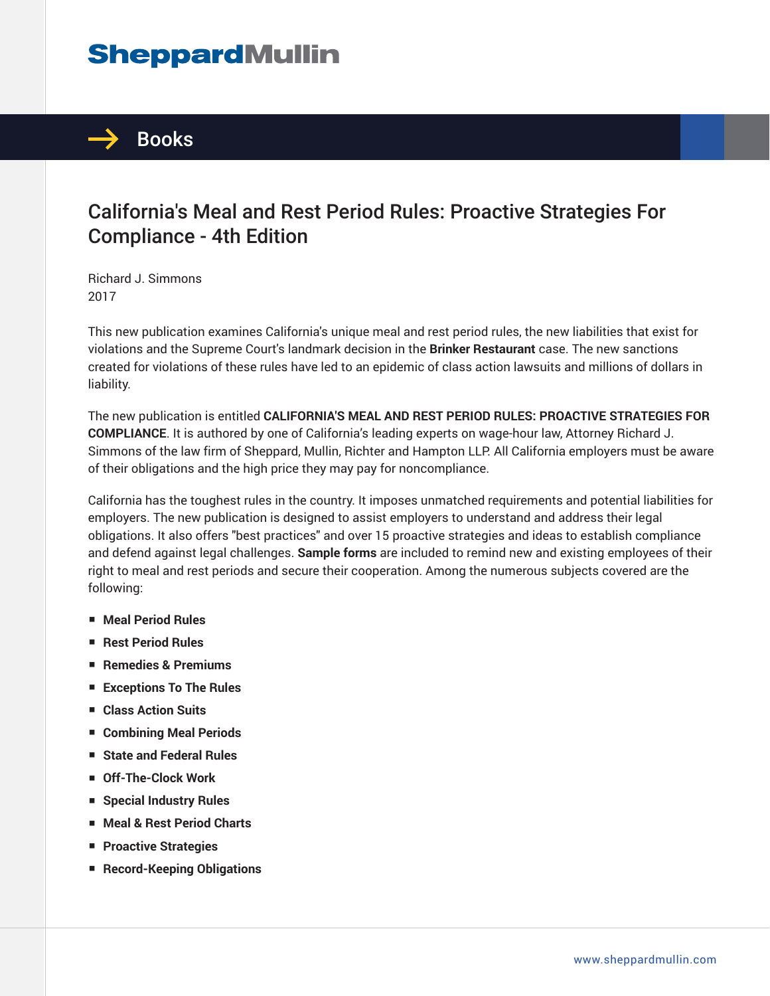# **SheppardMullin**



### California's Meal and Rest Period Rules: Proactive Strategies For Compliance - 4th Edition

Richard J. Simmons 2017

This new publication examines California's unique meal and rest period rules, the new liabilities that exist for violations and the Supreme Court's landmark decision in the **Brinker Restaurant** case. The new sanctions created for violations of these rules have led to an epidemic of class action lawsuits and millions of dollars in liability.

The new publication is entitled **CALIFORNIA'S MEAL AND REST PERIOD RULES: PROACTIVE STRATEGIES FOR COMPLIANCE**. It is authored by one of California's leading experts on wage-hour law, Attorney Richard J. Simmons of the law firm of Sheppard, Mullin, Richter and Hampton LLP. All California employers must be aware of their obligations and the high price they may pay for noncompliance.

California has the toughest rules in the country. It imposes unmatched requirements and potential liabilities for employers. The new publication is designed to assist employers to understand and address their legal obligations. It also offers "best practices" and over 15 proactive strategies and ideas to establish compliance and defend against legal challenges. **Sample forms** are included to remind new and existing employees of their right to meal and rest periods and secure their cooperation. Among the numerous subjects covered are the following:

- **Meal Period Rules**
- **Rest Period Rules**
- **Remedies & Premiums**
- **Exceptions To The Rules**
- **Class Action Suits**
- **Combining Meal Periods**
- **State and Federal Rules**
- **Off-The-Clock Work**
- **Special Industry Rules**
- **Meal & Rest Period Charts**
- **Proactive Strategies**
- **Record-Keeping Obligations**